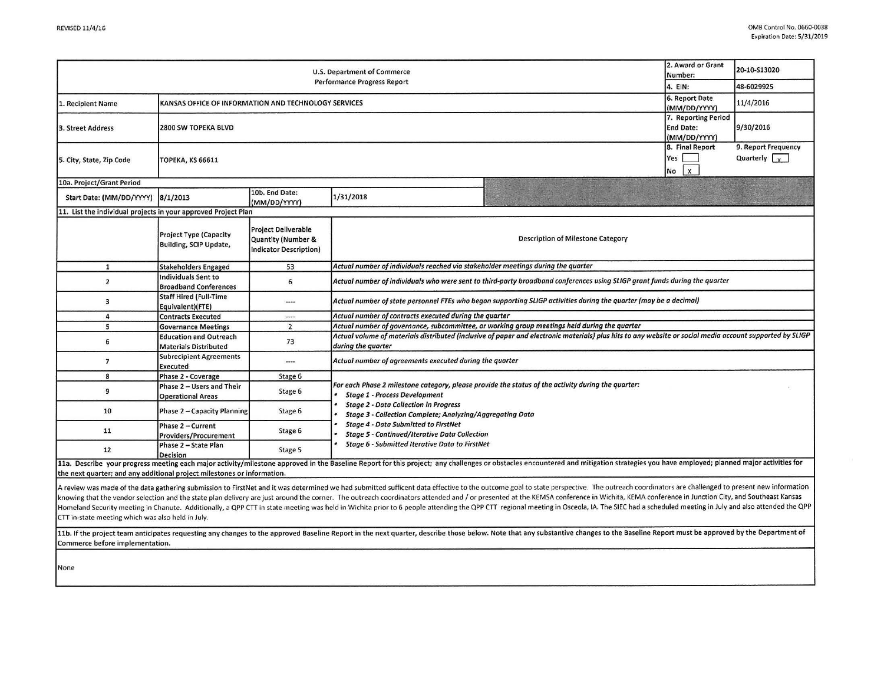|                                                                          |                                                                            |                                                                                                                                                                                                                                                                                         | 2. Award or Grant                                                                                                                                                        |                                                                                                                                                                                                                                                                                                                              |  |  |           |  |
|--------------------------------------------------------------------------|----------------------------------------------------------------------------|-----------------------------------------------------------------------------------------------------------------------------------------------------------------------------------------------------------------------------------------------------------------------------------------|--------------------------------------------------------------------------------------------------------------------------------------------------------------------------|------------------------------------------------------------------------------------------------------------------------------------------------------------------------------------------------------------------------------------------------------------------------------------------------------------------------------|--|--|-----------|--|
| <b>U.S. Department of Commerce</b><br><b>Performance Progress Report</b> |                                                                            |                                                                                                                                                                                                                                                                                         |                                                                                                                                                                          |                                                                                                                                                                                                                                                                                                                              |  |  |           |  |
|                                                                          |                                                                            |                                                                                                                                                                                                                                                                                         |                                                                                                                                                                          |                                                                                                                                                                                                                                                                                                                              |  |  | 11/4/2016 |  |
| 2800 SW TOPEKA BLVD                                                      |                                                                            | 9/30/2016                                                                                                                                                                                                                                                                               |                                                                                                                                                                          |                                                                                                                                                                                                                                                                                                                              |  |  |           |  |
| <b>ТОРЕКА, KS 66611</b>                                                  | $\mathsf{x}$                                                               | 9. Report Frequency<br>Quarterly $\sqrt{y}$                                                                                                                                                                                                                                             |                                                                                                                                                                          |                                                                                                                                                                                                                                                                                                                              |  |  |           |  |
|                                                                          |                                                                            |                                                                                                                                                                                                                                                                                         |                                                                                                                                                                          |                                                                                                                                                                                                                                                                                                                              |  |  |           |  |
| 8/1/2013                                                                 | 10b. End Date:<br>(MM/DD/YYYY)                                             | 1/31/2018                                                                                                                                                                                                                                                                               |                                                                                                                                                                          |                                                                                                                                                                                                                                                                                                                              |  |  |           |  |
|                                                                          |                                                                            |                                                                                                                                                                                                                                                                                         |                                                                                                                                                                          |                                                                                                                                                                                                                                                                                                                              |  |  |           |  |
| Project Type (Capacity<br>Building, SCIP Update,                         | <b>Project Deliverable</b><br>Quantity (Number &<br>Indicator Description) | <b>Description of Milestone Category</b>                                                                                                                                                                                                                                                |                                                                                                                                                                          |                                                                                                                                                                                                                                                                                                                              |  |  |           |  |
| <b>Stakeholders Engaged</b>                                              | 53                                                                         | Actual number of individuals reached via stakeholder meetings during the quarter                                                                                                                                                                                                        |                                                                                                                                                                          |                                                                                                                                                                                                                                                                                                                              |  |  |           |  |
| Individuals Sent to<br><b>Broadband Conferences</b>                      | 6                                                                          | Actual number of individuals who were sent to third-party broadband conferences using SLIGP grant funds during the quarter                                                                                                                                                              |                                                                                                                                                                          |                                                                                                                                                                                                                                                                                                                              |  |  |           |  |
| <b>Staff Hired (Full-Time</b><br>Equivalent)(FTE)                        | ----                                                                       | Actual number of state personnel FTEs who began supporting SLIGP activities during the quarter (may be a decimal)                                                                                                                                                                       |                                                                                                                                                                          |                                                                                                                                                                                                                                                                                                                              |  |  |           |  |
| <b>Contracts Executed</b>                                                | $\cdots$                                                                   | Actual number of contracts executed during the quarter                                                                                                                                                                                                                                  |                                                                                                                                                                          |                                                                                                                                                                                                                                                                                                                              |  |  |           |  |
| <b>Governance Meetings</b>                                               | $\overline{2}$                                                             | Actual number of governance, subcommittee, or working group meetings held during the quarter                                                                                                                                                                                            |                                                                                                                                                                          |                                                                                                                                                                                                                                                                                                                              |  |  |           |  |
| <b>Education and Outreach</b><br><b>Materials Distributed</b>            | 73                                                                         | during the quarter                                                                                                                                                                                                                                                                      |                                                                                                                                                                          |                                                                                                                                                                                                                                                                                                                              |  |  |           |  |
| <b>Subrecipient Agreements</b><br>Executed                               | ----                                                                       | Actual number of agreements executed during the quarter                                                                                                                                                                                                                                 |                                                                                                                                                                          |                                                                                                                                                                                                                                                                                                                              |  |  |           |  |
| Phase 2 - Coverage                                                       | Stage 6                                                                    |                                                                                                                                                                                                                                                                                         |                                                                                                                                                                          |                                                                                                                                                                                                                                                                                                                              |  |  |           |  |
| Phase 2 - Users and Their<br><b>Operational Areas</b>                    | Stage 6                                                                    | <b>Stage 1 - Process Development</b>                                                                                                                                                                                                                                                    |                                                                                                                                                                          |                                                                                                                                                                                                                                                                                                                              |  |  |           |  |
| Phase 2 - Capacity Planning                                              | Stage 6                                                                    | <b>Stage 2 - Data Collection in Progress</b><br><b>Stage 3 - Collection Complete; Analyzing/Aggregating Data</b><br><b>Stage 4 - Data Submitted to FirstNet</b><br><b>Stage 5 - Continued/Iterative Data Collection</b>                                                                 |                                                                                                                                                                          |                                                                                                                                                                                                                                                                                                                              |  |  |           |  |
| Phase 2 - Current<br>Providers/Procurement                               | Stage 6                                                                    |                                                                                                                                                                                                                                                                                         |                                                                                                                                                                          |                                                                                                                                                                                                                                                                                                                              |  |  |           |  |
| Phase 2 - State Plan<br><b>Decision</b>                                  | Stage 5                                                                    | <b>Stage 6 - Submitted Iterative Data to FirstNet</b><br>11a. Describe your progress meeting each major activity/milestone approved in the Baseline Report for this project; any challenges or obstacles encountered and mitigation strategies you have employed; planned major activit |                                                                                                                                                                          |                                                                                                                                                                                                                                                                                                                              |  |  |           |  |
|                                                                          |                                                                            | 11. List the individual projects in your approved Project Plan                                                                                                                                                                                                                          | KANSAS OFFICE OF INFORMATION AND TECHNOLOGY SERVICES<br>Yes<br>No.<br>For each Phase 2 milestone category, please provide the status of the activity during the quarter: | 20-10-S13020<br>Number:<br>4. EIN:<br>48-6029925<br>6. Report Date<br>(MM/DD/YYYY)<br>7. Reporting Period<br><b>End Date:</b><br>(MM/DD/YYYY)<br>8. Final Report<br>Actual volume of materials distributed (inclusive of paper and electronic materials) plus hits to any website or social media account supported by SLIGP |  |  |           |  |

the next quarter; and any additional project milestones or information.

A review was made of the data gathering submission to FirstNet and it was determined we had submitted sufficent data effective to the outcome goal to state perspective. The outreach coordinators are challenged to present n knowing that the vendor selection and the state plan delivery are just around the corner. The outreach coordinators attended and / or presented at the KEMSA conference in Wichita, KEMA conference in Junction City, and Sout Homeland Security meeting in Chanute. Additionally, a QPP CTT in state meeting was held in Wichita prior to 6 people attending the QPP CTT regional meeting in Osceola, IA. The SIEC had a scheduled meeting in July and also CTT in-state meeting which was also held in July.

11b. If the project team anticipates requesting any changes to the approved Baseline Report in the next quarter, describe those below. Note that any substantive changes to the Baseline Report must be approved by the Depart Commerce before implementation.

None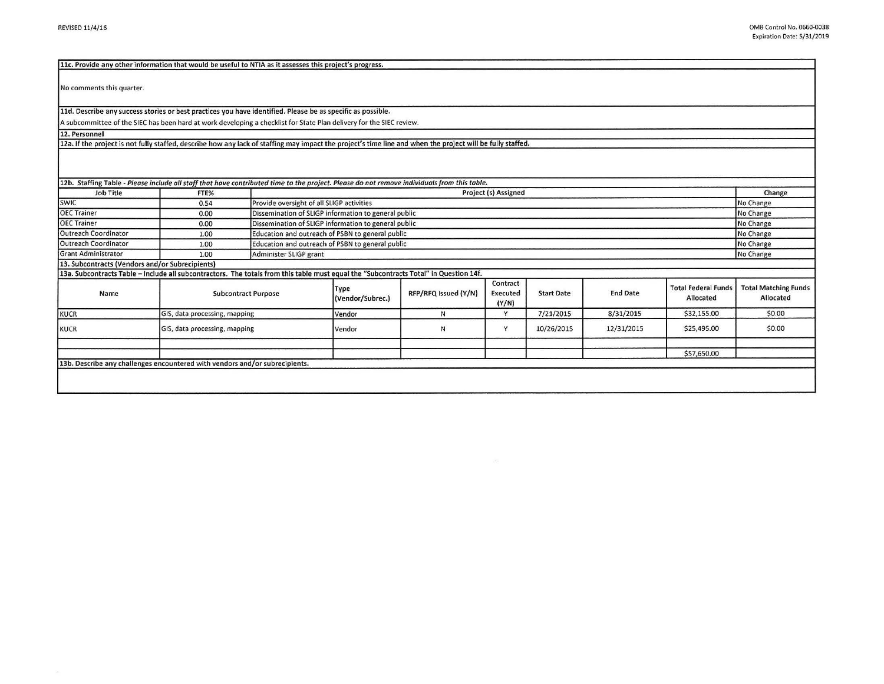| 11c. Provide any other information that would be useful to NTIA as it assesses this project's progress.                                                    |                               |  |                                                      |                      |                               |                   |                 |                                         |                                          |  |
|------------------------------------------------------------------------------------------------------------------------------------------------------------|-------------------------------|--|------------------------------------------------------|----------------------|-------------------------------|-------------------|-----------------|-----------------------------------------|------------------------------------------|--|
| No comments this quarter.                                                                                                                                  |                               |  |                                                      |                      |                               |                   |                 |                                         |                                          |  |
| 11d. Describe any success stories or best practices you have identified. Please be as specific as possible.                                                |                               |  |                                                      |                      |                               |                   |                 |                                         |                                          |  |
| A subcommittee of the SIEC has been hard at work developing a checklist for State Plan delivery for the SIEC review.                                       |                               |  |                                                      |                      |                               |                   |                 |                                         |                                          |  |
| 12. Personnel                                                                                                                                              |                               |  |                                                      |                      |                               |                   |                 |                                         |                                          |  |
| 12a. If the project is not fully staffed, describe how any lack of staffing may impact the project's time line and when the project will be fully staffed. |                               |  |                                                      |                      |                               |                   |                 |                                         |                                          |  |
| 12b. Staffing Table - Please include all staff that have contributed time to the project. Please do not remove individuals from this table.                |                               |  |                                                      |                      |                               |                   |                 |                                         |                                          |  |
| <b>Job Title</b>                                                                                                                                           | FTE%                          |  | Project (s) Assigned                                 |                      |                               |                   |                 |                                         |                                          |  |
| <b>SWIC</b>                                                                                                                                                | 0.54                          |  | Provide oversight of all SLIGP activities            |                      |                               |                   |                 |                                         |                                          |  |
| <b>OEC Trainer</b>                                                                                                                                         | 0.00                          |  | Dissemination of SLIGP information to general public |                      |                               |                   |                 |                                         |                                          |  |
| <b>OEC Trainer</b>                                                                                                                                         | 0.00                          |  | Dissemination of SLIGP information to general public |                      |                               |                   |                 |                                         |                                          |  |
| Outreach Coordinator                                                                                                                                       | 1.00                          |  | Education and outreach of PSBN to general public     |                      |                               |                   |                 |                                         |                                          |  |
| Outreach Coordinator                                                                                                                                       | 1.00                          |  | Education and outreach of PSBN to general public     |                      |                               |                   |                 |                                         |                                          |  |
| <b>Grant Administrator</b>                                                                                                                                 | 1.00                          |  | Administer SLIGP grant                               |                      |                               |                   |                 |                                         |                                          |  |
| 13. Subcontracts (Vendors and/or Subrecipients)                                                                                                            |                               |  |                                                      |                      |                               |                   |                 |                                         |                                          |  |
| 13a. Subcontracts Table - Include all subcontractors. The totals from this table must equal the "Subcontracts Total" in Question 14f.                      |                               |  |                                                      |                      |                               |                   |                 |                                         |                                          |  |
| Name                                                                                                                                                       | <b>Subcontract Purpose</b>    |  | Type<br>(Vendor/Subrec.)                             | RFP/RFQ Issued (Y/N) | Contract<br>Executed<br>(Y/N) | <b>Start Date</b> | <b>End Date</b> | <b>Total Federal Funds</b><br>Allocated | <b>Total Matching Funds</b><br>Allocated |  |
| <b>KUCR</b>                                                                                                                                                | GIS, data processing, mapping |  | Vendor                                               | N.                   | Y                             | 7/21/2015         | 8/31/2015       | \$32,155.00                             | \$0.00                                   |  |
| <b>KUCR</b>                                                                                                                                                | GIS, data processing, mapping |  | Vendor                                               | N.                   | Y                             | 10/26/2015        | 12/31/2015      | \$25,495.00                             | \$0.00                                   |  |
|                                                                                                                                                            |                               |  |                                                      |                      |                               |                   |                 |                                         |                                          |  |
|                                                                                                                                                            |                               |  |                                                      |                      |                               |                   |                 | \$57,650.00                             |                                          |  |
| 13b. Describe any challenges encountered with vendors and/or subrecipients.                                                                                |                               |  |                                                      |                      |                               |                   |                 |                                         |                                          |  |
|                                                                                                                                                            |                               |  |                                                      |                      |                               |                   |                 |                                         |                                          |  |